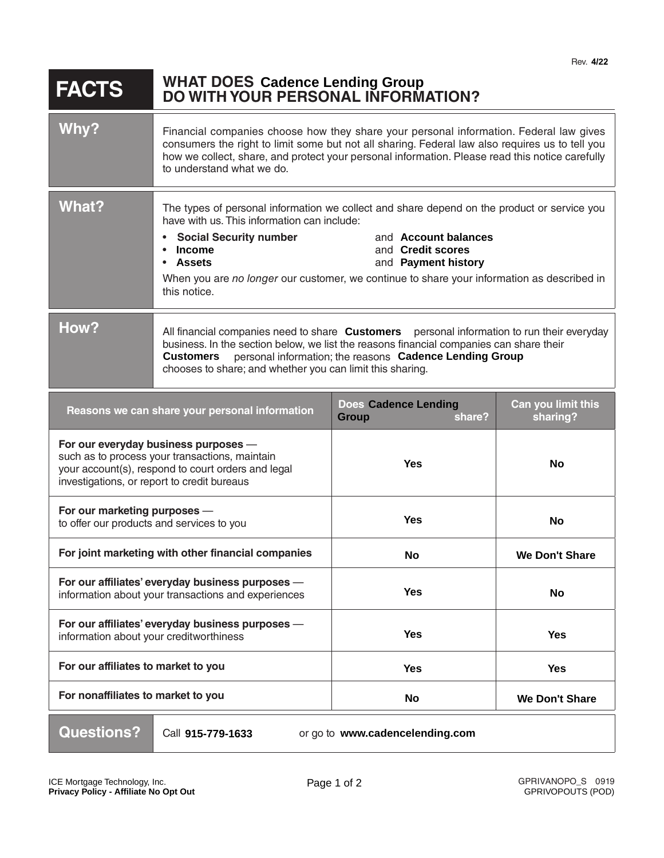| <b>FACTS</b> | <b>WHAT DOES Cadence Lending Group</b><br>DO WITH YOUR PERSONAL INFORMATION? |
|--------------|------------------------------------------------------------------------------|
|--------------|------------------------------------------------------------------------------|

| Why?                                                                                                                                                                                        | Financial companies choose how they share your personal information. Federal law gives<br>consumers the right to limit some but not all sharing. Federal law also requires us to tell you<br>how we collect, share, and protect your personal information. Please read this notice carefully<br>to understand what we do.                                                                                    |                                                       |                                |
|---------------------------------------------------------------------------------------------------------------------------------------------------------------------------------------------|--------------------------------------------------------------------------------------------------------------------------------------------------------------------------------------------------------------------------------------------------------------------------------------------------------------------------------------------------------------------------------------------------------------|-------------------------------------------------------|--------------------------------|
| What?                                                                                                                                                                                       | The types of personal information we collect and share depend on the product or service you<br>have with us. This information can include:<br>and Account balances<br><b>Social Security number</b><br><b>Income</b><br>and Credit scores<br>and Payment history<br><b>Assets</b><br>$\bullet$<br>When you are no longer our customer, we continue to share your information as described in<br>this notice. |                                                       |                                |
| How?                                                                                                                                                                                        | All financial companies need to share <b>Customers</b> personal information to run their everyday<br>business. In the section below, we list the reasons financial companies can share their<br>personal information; the reasons Cadence Lending Group<br><b>Customers</b><br>chooses to share; and whether you can limit this sharing.                                                                     |                                                       |                                |
| Reasons we can share your personal information                                                                                                                                              |                                                                                                                                                                                                                                                                                                                                                                                                              | <b>Does Cadence Lending</b><br><b>Group</b><br>share? | Can you limit this<br>sharing? |
| For our everyday business purposes -<br>such as to process your transactions, maintain<br>your account(s), respond to court orders and legal<br>investigations, or report to credit bureaus |                                                                                                                                                                                                                                                                                                                                                                                                              | <b>Yes</b>                                            | <b>No</b>                      |
| For our marketing purposes -<br>to offer our products and services to you                                                                                                                   |                                                                                                                                                                                                                                                                                                                                                                                                              | <b>Yes</b>                                            | <b>No</b>                      |
| For joint marketing with other financial companies                                                                                                                                          |                                                                                                                                                                                                                                                                                                                                                                                                              | <b>No</b>                                             | <b>We Don't Share</b>          |
| For our affiliates' everyday business purposes -<br>information about your transactions and experiences                                                                                     |                                                                                                                                                                                                                                                                                                                                                                                                              | <b>Yes</b>                                            | No.                            |
| For our affiliates' everyday business purposes -<br>information about your creditworthiness                                                                                                 |                                                                                                                                                                                                                                                                                                                                                                                                              | <b>Yes</b>                                            | <b>Yes</b>                     |
| For our affiliates to market to you                                                                                                                                                         |                                                                                                                                                                                                                                                                                                                                                                                                              | <b>Yes</b>                                            | <b>Yes</b>                     |
| For nonaffiliates to market to you                                                                                                                                                          |                                                                                                                                                                                                                                                                                                                                                                                                              | No                                                    | <b>We Don't Share</b>          |
| <b>Questions?</b>                                                                                                                                                                           | Call 915-779-1633                                                                                                                                                                                                                                                                                                                                                                                            | or go to www.cadencelending.com                       |                                |